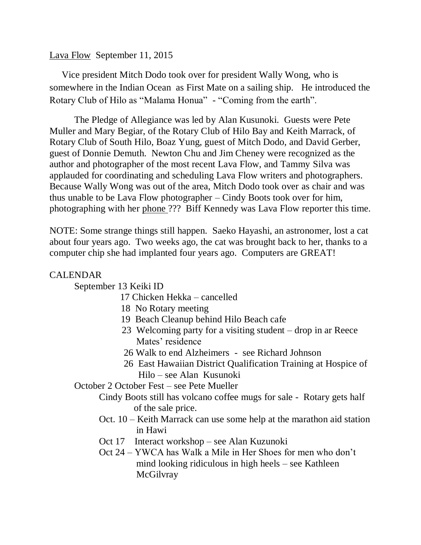### Lava Flow September 11, 2015

 Vice president Mitch Dodo took over for president Wally Wong, who is somewhere in the Indian Ocean as First Mate on a sailing ship. He introduced the Rotary Club of Hilo as "Malama Honua" - "Coming from the earth".

The Pledge of Allegiance was led by Alan Kusunoki. Guests were Pete Muller and Mary Begiar, of the Rotary Club of Hilo Bay and Keith Marrack, of Rotary Club of South Hilo, Boaz Yung, guest of Mitch Dodo, and David Gerber, guest of Donnie Demuth. Newton Chu and Jim Cheney were recognized as the author and photographer of the most recent Lava Flow, and Tammy Silva was applauded for coordinating and scheduling Lava Flow writers and photographers. Because Wally Wong was out of the area, Mitch Dodo took over as chair and was thus unable to be Lava Flow photographer – Cindy Boots took over for him, photographing with her phone ??? Biff Kennedy was Lava Flow reporter this time.

NOTE: Some strange things still happen. Saeko Hayashi, an astronomer, lost a cat about four years ago. Two weeks ago, the cat was brought back to her, thanks to a computer chip she had implanted four years ago. Computers are GREAT!

#### CALENDAR

September 13 Keiki ID

- 17 Chicken Hekka cancelled
- 18 No Rotary meeting
- 19 Beach Cleanup behind Hilo Beach cafe
- 23 Welcoming party for a visiting student drop in ar Reece Mates' residence
- 26 Walk to end Alzheimers see Richard Johnson
- 26 East Hawaiian District Qualification Training at Hospice of Hilo – see Alan Kusunoki

October 2 October Fest – see Pete Mueller

Cindy Boots still has volcano coffee mugs for sale - Rotary gets half of the sale price.

- Oct. 10 Keith Marrack can use some help at the marathon aid station in Hawi
- Oct 17 Interact workshop see Alan Kuzunoki
- Oct 24 YWCA has Walk a Mile in Her Shoes for men who don't mind looking ridiculous in high heels – see Kathleen **McGilvray**